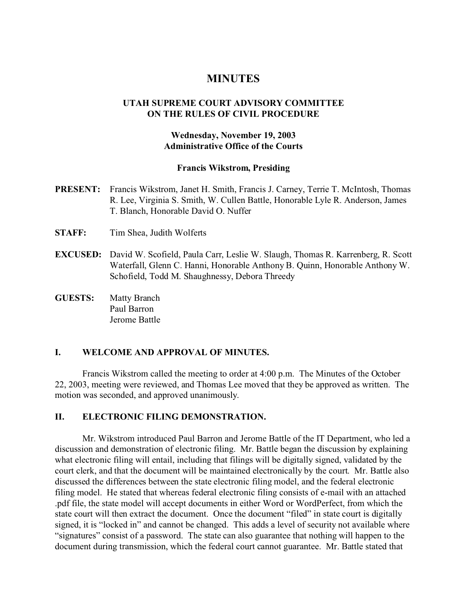# **MINUTES**

## **UTAH SUPREME COURT ADVISORY COMMITTEE ON THE RULES OF CIVIL PROCEDURE**

## **Wednesday, November 19, 2003 Administrative Office of the Courts**

#### **Francis Wikstrom, Presiding**

- **PRESENT:** Francis Wikstrom, Janet H. Smith, Francis J. Carney, Terrie T. McIntosh, Thomas R. Lee, Virginia S. Smith, W. Cullen Battle, Honorable Lyle R. Anderson, James T. Blanch, Honorable David O. Nuffer
- **STAFF:** Tim Shea, Judith Wolferts
- **EXCUSED:** David W. Scofield, Paula Carr, Leslie W. Slaugh, Thomas R. Karrenberg, R. Scott Waterfall, Glenn C. Hanni, Honorable Anthony B. Quinn, Honorable Anthony W. Schofield, Todd M. Shaughnessy, Debora Threedy
- **GUESTS:** Matty Branch Paul Barron Jerome Battle

## **I. WELCOME AND APPROVAL OF MINUTES.**

Francis Wikstrom called the meeting to order at 4:00 p.m. The Minutes of the October 22, 2003, meeting were reviewed, and Thomas Lee moved that they be approved as written. The motion was seconded, and approved unanimously.

## **II. ELECTRONIC FILING DEMONSTRATION.**

Mr. Wikstrom introduced Paul Barron and Jerome Battle of the IT Department, who led a discussion and demonstration of electronic filing. Mr. Battle began the discussion by explaining what electronic filing will entail, including that filings will be digitally signed, validated by the court clerk, and that the document will be maintained electronically by the court. Mr. Battle also discussed the differences between the state electronic filing model, and the federal electronic filing model. He stated that whereas federal electronic filing consists of e-mail with an attached .pdf file, the state model will accept documents in either Word or WordPerfect, from which the state court will then extract the document. Once the document "filed" in state court is digitally signed, it is "locked in" and cannot be changed. This adds a level of security not available where "signatures" consist of a password. The state can also guarantee that nothing will happen to the document during transmission, which the federal court cannot guarantee. Mr. Battle stated that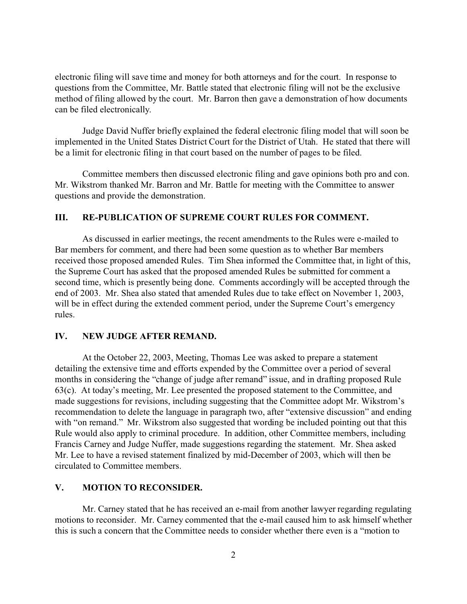electronic filing will save time and money for both attorneys and for the court. In response to questions from the Committee, Mr. Battle stated that electronic filing will not be the exclusive method of filing allowed by the court. Mr. Barron then gave a demonstration of how documents can be filed electronically.

Judge David Nuffer briefly explained the federal electronic filing model that will soon be implemented in the United States District Court for the District of Utah. He stated that there will be a limit for electronic filing in that court based on the number of pages to be filed.

Committee members then discussed electronic filing and gave opinions both pro and con. Mr. Wikstrom thanked Mr. Barron and Mr. Battle for meeting with the Committee to answer questions and provide the demonstration.

#### **III. RE-PUBLICATION OF SUPREME COURT RULES FOR COMMENT.**

As discussed in earlier meetings, the recent amendments to the Rules were e-mailed to Bar members for comment, and there had been some question as to whether Bar members received those proposed amended Rules. Tim Shea informed the Committee that, in light of this, the Supreme Court has asked that the proposed amended Rules be submitted for comment a second time, which is presently being done. Comments accordingly will be accepted through the end of 2003. Mr. Shea also stated that amended Rules due to take effect on November 1, 2003, will be in effect during the extended comment period, under the Supreme Court's emergency rules.

## **IV. NEW JUDGE AFTER REMAND.**

At the October 22, 2003, Meeting, Thomas Lee was asked to prepare a statement detailing the extensive time and efforts expended by the Committee over a period of several months in considering the "change of judge after remand" issue, and in drafting proposed Rule 63(c). At today's meeting, Mr. Lee presented the proposed statement to the Committee, and made suggestions for revisions, including suggesting that the Committee adopt Mr. Wikstrom's recommendation to delete the language in paragraph two, after "extensive discussion" and ending with "on remand." Mr. Wikstrom also suggested that wording be included pointing out that this Rule would also apply to criminal procedure. In addition, other Committee members, including Francis Carney and Judge Nuffer, made suggestions regarding the statement. Mr. Shea asked Mr. Lee to have a revised statement finalized by mid-December of 2003, which will then be circulated to Committee members.

### **V. MOTION TO RECONSIDER.**

Mr. Carney stated that he has received an e-mail from another lawyer regarding regulating motions to reconsider. Mr. Carney commented that the e-mail caused him to ask himself whether this is such a concern that the Committee needs to consider whether there even is a "motion to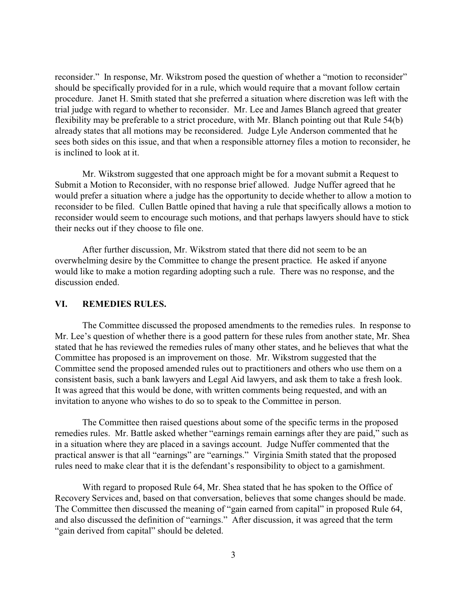reconsider." In response, Mr. Wikstrom posed the question of whether a "motion to reconsider" should be specifically provided for in a rule, which would require that a movant follow certain procedure. Janet H. Smith stated that she preferred a situation where discretion was left with the trial judge with regard to whether to reconsider. Mr. Lee and James Blanch agreed that greater flexibility may be preferable to a strict procedure, with Mr. Blanch pointing out that Rule 54(b) already states that all motions may be reconsidered. Judge Lyle Anderson commented that he sees both sides on this issue, and that when a responsible attorney files a motion to reconsider, he is inclined to look at it.

Mr. Wikstrom suggested that one approach might be for a movant submit a Request to Submit a Motion to Reconsider, with no response brief allowed. Judge Nuffer agreed that he would prefer a situation where a judge has the opportunity to decide whether to allow a motion to reconsider to be filed. Cullen Battle opined that having a rule that specifically allows a motion to reconsider would seem to encourage such motions, and that perhaps lawyers should have to stick their necks out if they choose to file one.

After further discussion, Mr. Wikstrom stated that there did not seem to be an overwhelming desire by the Committee to change the present practice. He asked if anyone would like to make a motion regarding adopting such a rule. There was no response, and the discussion ended.

### **VI. REMEDIES RULES.**

The Committee discussed the proposed amendments to the remedies rules. In response to Mr. Lee's question of whether there is a good pattern for these rules from another state, Mr. Shea stated that he has reviewed the remedies rules of many other states, and he believes that what the Committee has proposed is an improvement on those. Mr. Wikstrom suggested that the Committee send the proposed amended rules out to practitioners and others who use them on a consistent basis, such a bank lawyers and Legal Aid lawyers, and ask them to take a fresh look. It was agreed that this would be done, with written comments being requested, and with an invitation to anyone who wishes to do so to speak to the Committee in person.

The Committee then raised questions about some of the specific terms in the proposed remedies rules. Mr. Battle asked whether "earnings remain earnings after they are paid," such as in a situation where they are placed in a savings account. Judge Nuffer commented that the practical answer is that all "earnings" are "earnings." Virginia Smith stated that the proposed rules need to make clear that it is the defendant's responsibility to object to a garnishment.

With regard to proposed Rule 64, Mr. Shea stated that he has spoken to the Office of Recovery Services and, based on that conversation, believes that some changes should be made. The Committee then discussed the meaning of "gain earned from capital" in proposed Rule 64, and also discussed the definition of "earnings." After discussion, it was agreed that the term "gain derived from capital" should be deleted.